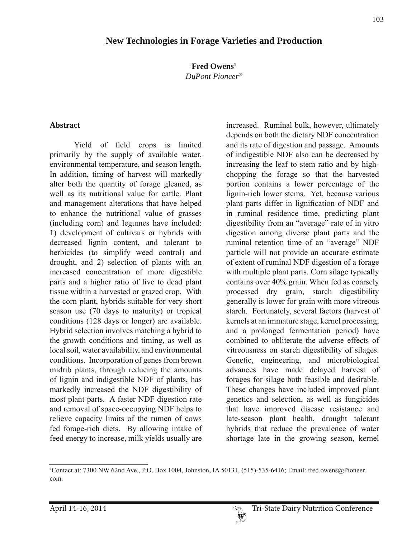**Fred Owens1**

*DuPont Pioneer®*

#### **Abstract**

Yield of field crops is limited primarily by the supply of available water, environmental temperature, and season length. In addition, timing of harvest will markedly alter both the quantity of forage gleaned, as well as its nutritional value for cattle. Plant and management alterations that have helped to enhance the nutritional value of grasses (including corn) and legumes have included: 1) development of cultivars or hybrids with decreased lignin content, and tolerant to herbicides (to simplify weed control) and drought, and 2) selection of plants with an increased concentration of more digestible parts and a higher ratio of live to dead plant tissue within a harvested or grazed crop. With the corn plant, hybrids suitable for very short season use (70 days to maturity) or tropical conditions (128 days or longer) are available. Hybrid selection involves matching a hybrid to the growth conditions and timing, as well as local soil, water availability, and environmental conditions. Incorporation of genes from brown midrib plants, through reducing the amounts of lignin and indigestible NDF of plants, has markedly increased the NDF digestibility of most plant parts. A faster NDF digestion rate and removal of space-occupying NDF helps to relieve capacity limits of the rumen of cows fed forage-rich diets. By allowing intake of feed energy to increase, milk yields usually are

increased. Ruminal bulk, however, ultimately depends on both the dietary NDF concentration and its rate of digestion and passage. Amounts of indigestible NDF also can be decreased by increasing the leaf to stem ratio and by highchopping the forage so that the harvested portion contains a lower percentage of the lignin-rich lower stems. Yet, because various plant parts differ in lignification of NDF and in ruminal residence time, predicting plant digestibility from an "average" rate of in vitro digestion among diverse plant parts and the ruminal retention time of an "average" NDF particle will not provide an accurate estimate of extent of ruminal NDF digestion of a forage with multiple plant parts. Corn silage typically contains over 40% grain. When fed as coarsely processed dry grain, starch digestibility generally is lower for grain with more vitreous starch. Fortunately, several factors (harvest of kernels at an immature stage, kernel processing, and a prolonged fermentation period) have combined to obliterate the adverse effects of vitreousness on starch digestibility of silages. Genetic, engineering, and microbiological advances have made delayed harvest of forages for silage both feasible and desirable. These changes have included improved plant genetics and selection, as well as fungicides that have improved disease resistance and late-season plant health, drought tolerant hybrids that reduce the prevalence of water shortage late in the growing season, kernel

<sup>1</sup> Contact at: 7300 NW 62nd Ave., P.O. Box 1004, Johnston, IA 50131, (515)-535-6416; Email: fred.owens@Pioneer. com.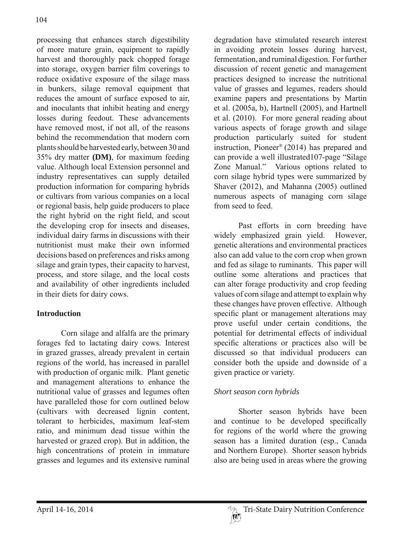processing that enhances starch digestibility of more mature grain, equipment to rapidly harvest and thoroughly pack chopped forage into storage, oxygen barrier film coverings to reduce oxidative exposure of the silage mass in bunkers, silage removal equipment that reduces the amount of surface exposed to air, and inoculants that inhibit heating and energy losses during feedout. These advancements have removed most, if not all, of the reasons behind the recommendation that modern corn plants should be harvested early, between 30 and 35% dry matter **(DM)**, for maximum feeding value. Although local Extension personnel and industry representatives can supply detailed production information for comparing hybrids or cultivars from various companies on a local or regional basis, help guide producers to place the right hybrid on the right field, and scout the developing crop for insects and diseases, individual dairy farms in discussions with their nutritionist must make their own informed decisions based on preferences and risks among silage and grain types, their capacity to harvest, process, and store silage, and the local costs and availability of other ingredients included in their diets for dairy cows.

## **Introduction**

 Corn silage and alfalfa are the primary forages fed to lactating dairy cows. Interest in grazed grasses, already prevalent in certain regions of the world, has increased in parallel with production of organic milk. Plant genetic and management alterations to enhance the nutritional value of grasses and legumes often have paralleled those for corn outlined below (cultivars with decreased lignin content, tolerant to herbicides, maximum leaf-stem ratio, and minimum dead tissue within the harvested or grazed crop). But in addition, the high concentrations of protein in immature grasses and legumes and its extensive ruminal

degradation have stimulated research interest in avoiding protein losses during harvest, fermentation, and ruminal digestion. For further discussion of recent genetic and management practices designed to increase the nutritional value of grasses and legumes, readers should examine papers and presentations by Martin et al. (2005a, b), Hartnell (2005), and Hartnell et al. (2010). For more general reading about various aspects of forage growth and silage production particularly suited for student instruction, Pioneer® (2014) has prepared and can provide a well illustrated107-page "Silage Zone Manual." Various options related to corn silage hybrid types were summarized by Shaver (2012), and Mahanna (2005) outlined numerous aspects of managing corn silage from seed to feed.

 Past efforts in corn breeding have widely emphasized grain yield. However, genetic alterations and environmental practices also can add value to the corn crop when grown and fed as silage to ruminants. This paper will outline some alterations and practices that can alter forage productivity and crop feeding values of corn silage and attempt to explain why these changes have proven effective. Although specific plant or management alterations may prove useful under certain conditions, the potential for detrimental effects of individual specific alterations or practices also will be discussed so that individual producers can consider both the upside and downside of a given practice or variety.

#### *Short season corn hybrids*

 Shorter season hybrids have been and continue to be developed specifically for regions of the world where the growing season has a limited duration (esp., Canada and Northern Europe). Shorter season hybrids also are being used in areas where the growing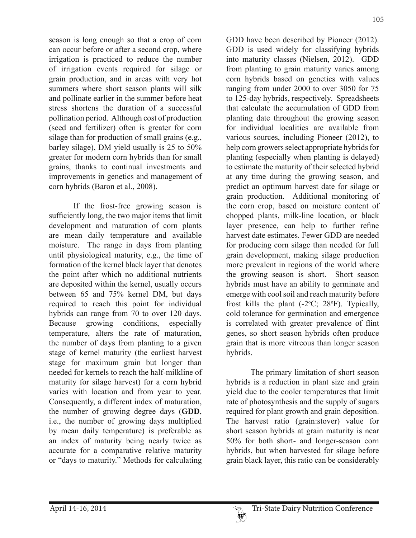season is long enough so that a crop of corn can occur before or after a second crop, where irrigation is practiced to reduce the number of irrigation events required for silage or grain production, and in areas with very hot summers where short season plants will silk and pollinate earlier in the summer before heat stress shortens the duration of a successful pollination period. Although cost of production (seed and fertilizer) often is greater for corn silage than for production of small grains (e.g., barley silage), DM yield usually is 25 to 50% greater for modern corn hybrids than for small grains, thanks to continual investments and improvements in genetics and management of corn hybrids (Baron et al., 2008).

 If the frost-free growing season is sufficiently long, the two major items that limit development and maturation of corn plants are mean daily temperature and available moisture. The range in days from planting until physiological maturity, e.g., the time of formation of the kernel black layer that denotes the point after which no additional nutrients are deposited within the kernel, usually occurs between 65 and 75% kernel DM, but days required to reach this point for individual hybrids can range from 70 to over 120 days. Because growing conditions, especially temperature, alters the rate of maturation, the number of days from planting to a given stage of kernel maturity (the earliest harvest stage for maximum grain but longer than needed for kernels to reach the half-milkline of maturity for silage harvest) for a corn hybrid varies with location and from year to year. Consequently, a different index of maturation, the number of growing degree days (**GDD**, i.e., the number of growing days multiplied by mean daily temperature) is preferable as an index of maturity being nearly twice as accurate for a comparative relative maturity or "days to maturity." Methods for calculating GDD have been described by Pioneer (2012). GDD is used widely for classifying hybrids into maturity classes (Nielsen, 2012). GDD from planting to grain maturity varies among corn hybrids based on genetics with values ranging from under 2000 to over 3050 for 75 to 125-day hybrids, respectively. Spreadsheets that calculate the accumulation of GDD from planting date throughout the growing season for individual localities are available from various sources, including Pioneer (2012), to help corn growers select appropriate hybrids for planting (especially when planting is delayed) to estimate the maturity of their selected hybrid at any time during the growing season, and predict an optimum harvest date for silage or grain production. Additional monitoring of the corn crop, based on moisture content of chopped plants, milk-line location, or black layer presence, can help to further refine harvest date estimates. Fewer GDD are needed for producing corn silage than needed for full grain development, making silage production more prevalent in regions of the world where the growing season is short. Short season hybrids must have an ability to germinate and emerge with cool soil and reach maturity before frost kills the plant  $(-2^{\circ}C; 28^{\circ}F)$ . Typically, cold tolerance for germination and emergence is correlated with greater prevalence of flint genes, so short season hybrids often produce grain that is more vitreous than longer season hybrids.

 The primary limitation of short season hybrids is a reduction in plant size and grain yield due to the cooler temperatures that limit rate of photosynthesis and the supply of sugars required for plant growth and grain deposition. The harvest ratio (grain:stover) value for short season hybrids at grain maturity is near 50% for both short- and longer-season corn hybrids, but when harvested for silage before grain black layer, this ratio can be considerably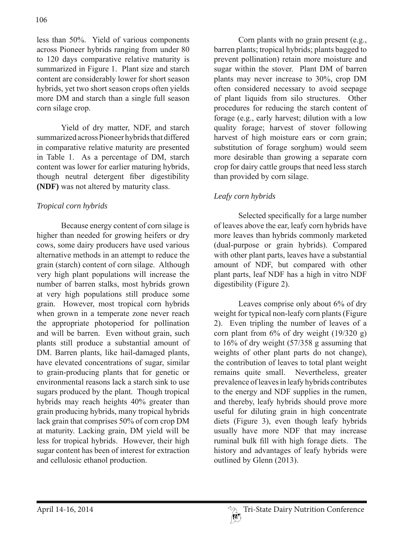less than 50%. Yield of various components across Pioneer hybrids ranging from under 80 to 120 days comparative relative maturity is summarized in Figure 1. Plant size and starch content are considerably lower for short season hybrids, yet two short season crops often yields more DM and starch than a single full season corn silage crop.

 Yield of dry matter, NDF, and starch summarized across Pioneer hybrids that differed in comparative relative maturity are presented in Table 1. As a percentage of DM, starch content was lower for earlier maturing hybrids, though neutral detergent fiber digestibility **(NDF)** was not altered by maturity class.

## *Tropical corn hybrids*

 Because energy content of corn silage is higher than needed for growing heifers or dry cows, some dairy producers have used various alternative methods in an attempt to reduce the grain (starch) content of corn silage. Although very high plant populations will increase the number of barren stalks, most hybrids grown at very high populations still produce some grain. However, most tropical corn hybrids when grown in a temperate zone never reach the appropriate photoperiod for pollination and will be barren. Even without grain, such plants still produce a substantial amount of DM. Barren plants, like hail-damaged plants, have elevated concentrations of sugar, similar to grain-producing plants that for genetic or environmental reasons lack a starch sink to use sugars produced by the plant. Though tropical hybrids may reach heights 40% greater than grain producing hybrids, many tropical hybrids lack grain that comprises 50% of corn crop DM at maturity. Lacking grain, DM yield will be less for tropical hybrids. However, their high sugar content has been of interest for extraction and cellulosic ethanol production.

 Corn plants with no grain present (e.g., barren plants; tropical hybrids; plants bagged to prevent pollination) retain more moisture and sugar within the stover. Plant DM of barren plants may never increase to 30%, crop DM often considered necessary to avoid seepage of plant liquids from silo structures. Other procedures for reducing the starch content of forage (e.g., early harvest; dilution with a low quality forage; harvest of stover following harvest of high moisture ears or corn grain; substitution of forage sorghum) would seem more desirable than growing a separate corn crop for dairy cattle groups that need less starch than provided by corn silage.

# *Leafy corn hybrids*

Selected specifically for a large number of leaves above the ear, leafy corn hybrids have more leaves than hybrids commonly marketed (dual-purpose or grain hybrids). Compared with other plant parts, leaves have a substantial amount of NDF, but compared with other plant parts, leaf NDF has a high in vitro NDF digestibility (Figure 2).

 Leaves comprise only about 6% of dry weight for typical non-leafy corn plants (Figure 2). Even tripling the number of leaves of a corn plant from  $6\%$  of dry weight  $(19/320 \text{ g})$ to 16% of dry weight (57/358 g assuming that weights of other plant parts do not change), the contribution of leaves to total plant weight remains quite small. Nevertheless, greater prevalence of leaves in leafy hybrids contributes to the energy and NDF supplies in the rumen, and thereby, leafy hybrids should prove more useful for diluting grain in high concentrate diets (Figure 3), even though leafy hybrids usually have more NDF that may increase ruminal bulk fill with high forage diets. The history and advantages of leafy hybrids were outlined by Glenn (2013).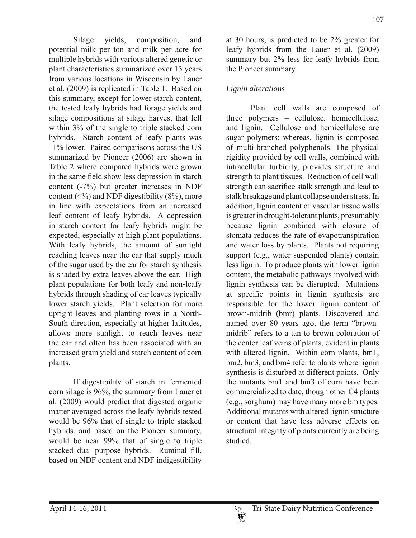Silage yields, composition, and potential milk per ton and milk per acre for multiple hybrids with various altered genetic or plant characteristics summarized over 13 years from various locations in Wisconsin by Lauer et al. (2009) is replicated in Table 1. Based on this summary, except for lower starch content, the tested leafy hybrids had forage yields and silage compositions at silage harvest that fell within 3% of the single to triple stacked corn hybrids. Starch content of leafy plants was 11% lower. Paired comparisons across the US summarized by Pioneer (2006) are shown in Table 2 where compared hybrids were grown in the same field show less depression in starch content (-7%) but greater increases in NDF content (4%) and NDF digestibility (8%), more in line with expectations from an increased leaf content of leafy hybrids. A depression in starch content for leafy hybrids might be expected, especially at high plant populations. With leafy hybrids, the amount of sunlight reaching leaves near the ear that supply much of the sugar used by the ear for starch synthesis is shaded by extra leaves above the ear. High plant populations for both leafy and non-leafy hybrids through shading of ear leaves typically lower starch yields. Plant selection for more upright leaves and planting rows in a North-South direction, especially at higher latitudes, allows more sunlight to reach leaves near the ear and often has been associated with an increased grain yield and starch content of corn plants.

 If digestibility of starch in fermented corn silage is 96%, the summary from Lauer et al. (2009) would predict that digested organic matter averaged across the leafy hybrids tested would be 96% that of single to triple stacked hybrids, and based on the Pioneer summary, would be near 99% that of single to triple stacked dual purpose hybrids. Ruminal fill, based on NDF content and NDF indigestibility

107

at 30 hours, is predicted to be 2% greater for leafy hybrids from the Lauer et al. (2009) summary but 2% less for leafy hybrids from the Pioneer summary.

## *Lignin alterations*

 Plant cell walls are composed of three polymers – cellulose, hemicellulose, and lignin. Cellulose and hemicellulose are sugar polymers; whereas, lignin is composed of multi-branched polyphenols. The physical rigidity provided by cell walls, combined with intracellular turbidity, provides structure and strength to plant tissues. Reduction of cell wall strength can sacrifice stalk strength and lead to stalk breakage and plant collapse under stress. In addition, lignin content of vascular tissue walls is greater in drought-tolerant plants, presumably because lignin combined with closure of stomata reduces the rate of evapotranspiration and water loss by plants. Plants not requiring support (e.g., water suspended plants) contain less lignin. To produce plants with lower lignin content, the metabolic pathways involved with lignin synthesis can be disrupted. Mutations at specific points in lignin synthesis are responsible for the lower lignin content of brown-midrib (bmr) plants. Discovered and named over 80 years ago, the term "brownmidrib" refers to a tan to brown coloration of the center leaf veins of plants, evident in plants with altered lignin. Within corn plants, bm1, bm2, bm3, and bm4 refer to plants where lignin synthesis is disturbed at different points. Only the mutants bm1 and bm3 of corn have been commercialized to date, though other C4 plants (e.g., sorghum) may have many more bm types. Additional mutants with altered lignin structure or content that have less adverse effects on structural integrity of plants currently are being studied.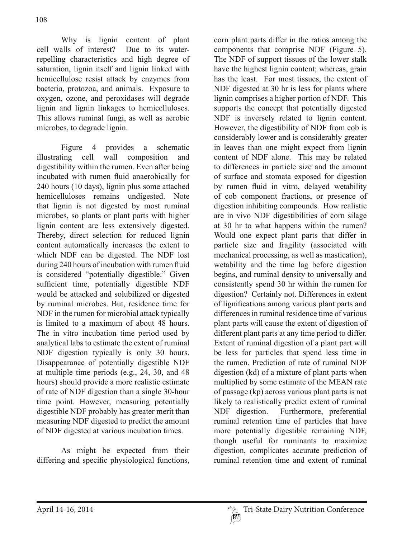Why is lignin content of plant cell walls of interest? Due to its waterrepelling characteristics and high degree of saturation, lignin itself and lignin linked with hemicellulose resist attack by enzymes from bacteria, protozoa, and animals. Exposure to oxygen, ozone, and peroxidases will degrade lignin and lignin linkages to hemicelluloses. This allows ruminal fungi, as well as aerobic microbes, to degrade lignin.

 Figure 4 provides a schematic illustrating cell wall composition and digestibility within the rumen. Even after being incubated with rumen fluid anaerobically for 240 hours (10 days), lignin plus some attached hemicelluloses remains undigested. Note that lignin is not digested by most ruminal microbes, so plants or plant parts with higher lignin content are less extensively digested. Thereby, direct selection for reduced lignin content automatically increases the extent to which NDF can be digested. The NDF lost during 240 hours of incubation with rumen fluid is considered "potentially digestible." Given sufficient time, potentially digestible NDF would be attacked and solubilized or digested by ruminal microbes. But, residence time for NDF in the rumen for microbial attack typically is limited to a maximum of about 48 hours. The in vitro incubation time period used by analytical labs to estimate the extent of ruminal NDF digestion typically is only 30 hours. Disappearance of potentially digestible NDF at multiple time periods (e.g., 24, 30, and 48 hours) should provide a more realistic estimate of rate of NDF digestion than a single 30-hour time point. However, measuring potentially digestible NDF probably has greater merit than measuring NDF digested to predict the amount of NDF digested at various incubation times.

 As might be expected from their differing and specific physiological functions,

corn plant parts differ in the ratios among the components that comprise NDF (Figure 5). The NDF of support tissues of the lower stalk have the highest lignin content; whereas, grain has the least. For most tissues, the extent of NDF digested at 30 hr is less for plants where lignin comprises a higher portion of NDF. This supports the concept that potentially digested NDF is inversely related to lignin content. However, the digestibility of NDF from cob is considerably lower and is considerably greater in leaves than one might expect from lignin content of NDF alone. This may be related to differences in particle size and the amount of surface and stomata exposed for digestion by rumen fluid in vitro, delayed wetability of cob component fractions, or presence of digestion inhibiting compounds. How realistic are in vivo NDF digestibilities of corn silage at 30 hr to what happens within the rumen? Would one expect plant parts that differ in particle size and fragility (associated with mechanical processing, as well as mastication), wetability and the time lag before digestion begins, and ruminal density to universally and consistently spend 30 hr within the rumen for digestion? Certainly not. Differences in extent of lignifications among various plant parts and differences in ruminal residence time of various plant parts will cause the extent of digestion of different plant parts at any time period to differ. Extent of ruminal digestion of a plant part will be less for particles that spend less time in the rumen. Prediction of rate of ruminal NDF digestion (kd) of a mixture of plant parts when multiplied by some estimate of the MEAN rate of passage (kp) across various plant parts is not likely to realistically predict extent of ruminal NDF digestion. Furthermore, preferential ruminal retention time of particles that have more potentially digestible remaining NDF, though useful for ruminants to maximize digestion, complicates accurate prediction of ruminal retention time and extent of ruminal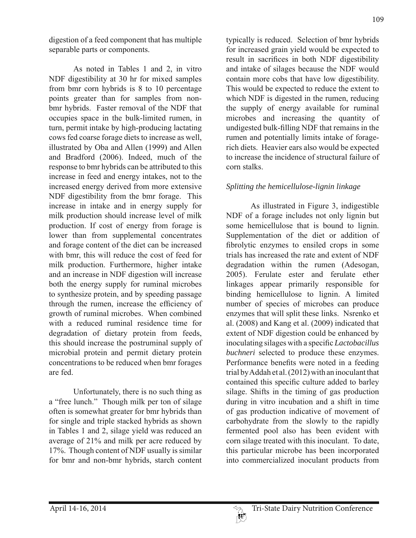digestion of a feed component that has multiple separable parts or components.

 As noted in Tables 1 and 2, in vitro NDF digestibility at 30 hr for mixed samples from bmr corn hybrids is 8 to 10 percentage points greater than for samples from nonbmr hybrids. Faster removal of the NDF that occupies space in the bulk-limited rumen, in turn, permit intake by high-producing lactating cows fed coarse forage diets to increase as well, illustrated by Oba and Allen (1999) and Allen and Bradford (2006). Indeed, much of the response to bmr hybrids can be attributed to this increase in feed and energy intakes, not to the increased energy derived from more extensive NDF digestibility from the bmr forage. This increase in intake and in energy supply for milk production should increase level of milk production. If cost of energy from forage is lower than from supplemental concentrates and forage content of the diet can be increased with bmr, this will reduce the cost of feed for milk production. Furthermore, higher intake and an increase in NDF digestion will increase both the energy supply for ruminal microbes to synthesize protein, and by speeding passage through the rumen, increase the efficiency of growth of ruminal microbes. When combined with a reduced ruminal residence time for degradation of dietary protein from feeds, this should increase the postruminal supply of microbial protein and permit dietary protein concentrations to be reduced when bmr forages are fed.

 Unfortunately, there is no such thing as a "free lunch." Though milk per ton of silage often is somewhat greater for bmr hybrids than for single and triple stacked hybrids as shown in Tables 1 and 2, silage yield was reduced an average of 21% and milk per acre reduced by 17%. Though content of NDF usually is similar for bmr and non-bmr hybrids, starch content typically is reduced. Selection of bmr hybrids for increased grain yield would be expected to result in sacrifices in both NDF digestibility and intake of silages because the NDF would contain more cobs that have low digestibility. This would be expected to reduce the extent to which NDF is digested in the rumen, reducing the supply of energy available for ruminal microbes and increasing the quantity of undigested bulk-filling NDF that remains in the rumen and potentially limits intake of foragerich diets. Heavier ears also would be expected to increase the incidence of structural failure of corn stalks.

#### *Splitting the hemicellulose-lignin linkage*

 As illustrated in Figure 3, indigestible NDF of a forage includes not only lignin but some hemicellulose that is bound to lignin. Supplementation of the diet or addition of fibrolytic enzymes to ensiled crops in some trials has increased the rate and extent of NDF degradation within the rumen (Adesogan, 2005). Ferulate ester and ferulate ether linkages appear primarily responsible for binding hemicellulose to lignin. A limited number of species of microbes can produce enzymes that will split these links. Nsrenko et al. (2008) and Kang et al. (2009) indicated that extent of NDF digestion could be enhanced by inoculating silages with a specific *Lactobacillus buchneri* selected to produce these enzymes. Performance benefits were noted in a feeding trial by Addah et al. (2012) with an inoculant that contained this specific culture added to barley silage. Shifts in the timing of gas production during in vitro incubation and a shift in time of gas production indicative of movement of carbohydrate from the slowly to the rapidly fermented pool also has been evident with corn silage treated with this inoculant. To date, this particular microbe has been incorporated into commercialized inoculant products from

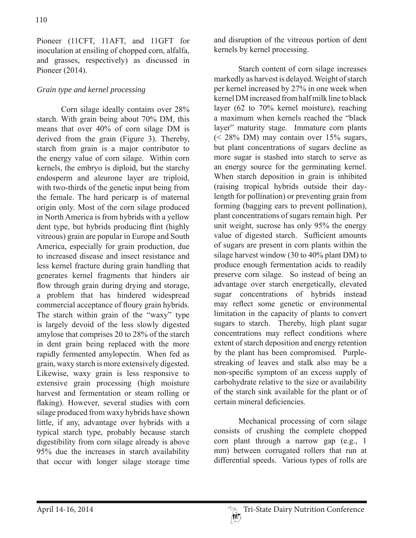Pioneer (11CFT, 11AFT, and 11GFT for inoculation at ensiling of chopped corn, alfalfa, and grasses, respectively) as discussed in Pioneer (2014).

## *Grain type and kernel processing*

 Corn silage ideally contains over 28% starch. With grain being about 70% DM, this means that over 40% of corn silage DM is derived from the grain (Figure 3). Thereby, starch from grain is a major contributor to the energy value of corn silage. Within corn kernels, the embryo is diploid, but the starchy endosperm and aleurone layer are triploid, with two-thirds of the genetic input being from the female. The hard pericarp is of maternal origin only. Most of the corn silage produced in North America is from hybrids with a yellow dent type, but hybrids producing flint (highly vitreous) grain are popular in Europe and South America, especially for grain production, due to increased disease and insect resistance and less kernel fracture during grain handling that generates kernel fragments that hinders air flow through grain during drying and storage, a problem that has hindered widespread commercial acceptance of floury grain hybrids. The starch within grain of the "waxy" type is largely devoid of the less slowly digested amylose that comprises 20 to 28% of the starch in dent grain being replaced with the more rapidly fermented amylopectin. When fed as grain, waxy starch is more extensively digested. Likewise, waxy grain is less responsive to extensive grain processing (high moisture harvest and fermentation or steam rolling or flaking). However, several studies with corn silage produced from waxy hybrids have shown little, if any, advantage over hybrids with a typical starch type, probably because starch digestibility from corn silage already is above 95% due the increases in starch availability that occur with longer silage storage time

and disruption of the vitreous portion of dent kernels by kernel processing.

 Starch content of corn silage increases markedly as harvest is delayed. Weight of starch per kernel increased by 27% in one week when kernel DM increased from half milk line to black layer (62 to 70% kernel moisture), reaching a maximum when kernels reached the "black layer" maturity stage. Immature corn plants (< 28% DM) may contain over 15% sugars, but plant concentrations of sugars decline as more sugar is stashed into starch to serve as an energy source for the germinating kernel. When starch deposition in grain is inhibited (raising tropical hybrids outside their daylength for pollination) or preventing grain from forming (bagging ears to prevent pollination), plant concentrations of sugars remain high. Per unit weight, sucrose has only 95% the energy value of digested starch. Sufficient amounts of sugars are present in corn plants within the silage harvest window (30 to 40% plant DM) to produce enough fermentation acids to readily preserve corn silage. So instead of being an advantage over starch energetically, elevated sugar concentrations of hybrids instead may reflect some genetic or environmental limitation in the capacity of plants to convert sugars to starch. Thereby, high plant sugar concentrations may reflect conditions where extent of starch deposition and energy retention by the plant has been compromised. Purplestreaking of leaves and stalk also may be a non-specific symptom of an excess supply of carbohydrate relative to the size or availability of the starch sink available for the plant or of certain mineral deficiencies

 Mechanical processing of corn silage consists of crushing the complete chopped corn plant through a narrow gap (e.g., 1 mm) between corrugated rollers that run at differential speeds. Various types of rolls are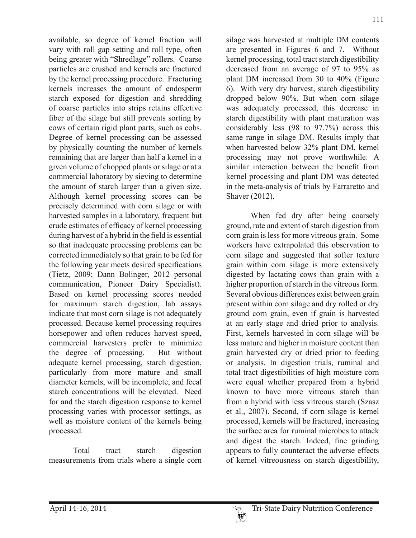available, so degree of kernel fraction will vary with roll gap setting and roll type, often being greater with "Shredlage" rollers. Coarse particles are crushed and kernels are fractured by the kernel processing procedure. Fracturing kernels increases the amount of endosperm starch exposed for digestion and shredding of coarse particles into strips retains effective fiber of the silage but still prevents sorting by cows of certain rigid plant parts, such as cobs. Degree of kernel processing can be assessed by physically counting the number of kernels remaining that are larger than half a kernel in a given volume of chopped plants or silage or at a commercial laboratory by sieving to determine the amount of starch larger than a given size. Although kernel processing scores can be precisely determined with corn silage or with harvested samples in a laboratory, frequent but crude estimates of efficacy of kernel processing during harvest of a hybrid in the field is essential so that inadequate processing problems can be corrected immediately so that grain to be fed for the following year meets desired specifications (Tietz, 2009; Dann Bolinger, 2012 personal communication, Pioneer Dairy Specialist). Based on kernel processing scores needed for maximum starch digestion, lab assays indicate that most corn silage is not adequately processed. Because kernel processing requires horsepower and often reduces harvest speed, commercial harvesters prefer to minimize the degree of processing. But without adequate kernel processing, starch digestion, particularly from more mature and small diameter kernels, will be incomplete, and fecal starch concentrations will be elevated. Need for and the starch digestion response to kernel processing varies with processor settings, as well as moisture content of the kernels being processed.

 Total tract starch digestion measurements from trials where a single corn silage was harvested at multiple DM contents are presented in Figures 6 and 7. Without kernel processing, total tract starch digestibility decreased from an average of 97 to 95% as plant DM increased from 30 to 40% (Figure 6). With very dry harvest, starch digestibility dropped below 90%. But when corn silage was adequately processed, this decrease in starch digestibility with plant maturation was considerably less (98 to 97.7%) across this same range in silage DM. Results imply that when harvested below 32% plant DM, kernel processing may not prove worthwhile. A similar interaction between the benefit from kernel processing and plant DM was detected in the meta-analysis of trials by Farraretto and Shaver (2012).

 When fed dry after being coarsely ground, rate and extent of starch digestion from corn grain is less for more vitreous grain. Some workers have extrapolated this observation to corn silage and suggested that softer texture grain within corn silage is more extensively digested by lactating cows than grain with a higher proportion of starch in the vitreous form. Several obvious differences exist between grain present within corn silage and dry rolled or dry ground corn grain, even if grain is harvested at an early stage and dried prior to analysis. First, kernels harvested in corn silage will be less mature and higher in moisture content than grain harvested dry or dried prior to feeding or analysis. In digestion trials, ruminal and total tract digestibilities of high moisture corn were equal whether prepared from a hybrid known to have more vitreous starch than from a hybrid with less vitreous starch (Szasz et al., 2007). Second, if corn silage is kernel processed, kernels will be fractured, increasing the surface area for ruminal microbes to attack and digest the starch. Indeed, fine grinding appears to fully counteract the adverse effects of kernel vitreousness on starch digestibility,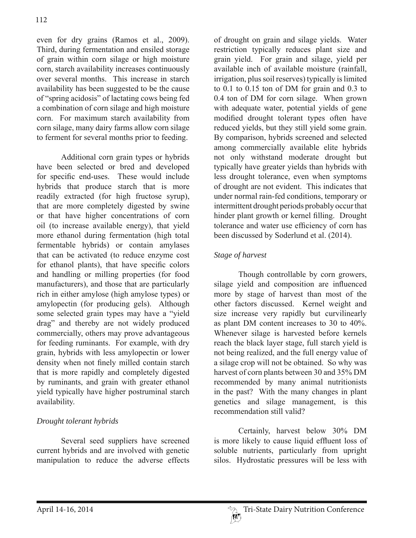even for dry grains (Ramos et al., 2009). Third, during fermentation and ensiled storage of grain within corn silage or high moisture corn, starch availability increases continuously over several months. This increase in starch availability has been suggested to be the cause of "spring acidosis" of lactating cows being fed a combination of corn silage and high moisture corn. For maximum starch availability from corn silage, many dairy farms allow corn silage to ferment for several months prior to feeding.

 Additional corn grain types or hybrids have been selected or bred and developed for specific end-uses. These would include hybrids that produce starch that is more readily extracted (for high fructose syrup), that are more completely digested by swine or that have higher concentrations of corn oil (to increase available energy), that yield more ethanol during fermentation (high total fermentable hybrids) or contain amylases that can be activated (to reduce enzyme cost for ethanol plants), that have specific colors and handling or milling properties (for food manufacturers), and those that are particularly rich in either amylose (high amylose types) or amylopectin (for producing gels). Although some selected grain types may have a "yield drag" and thereby are not widely produced commercially, others may prove advantageous for feeding ruminants. For example, with dry grain, hybrids with less amylopectin or lower density when not finely milled contain starch that is more rapidly and completely digested by ruminants, and grain with greater ethanol yield typically have higher postruminal starch availability.

## *Drought tolerant hybrids*

 Several seed suppliers have screened current hybrids and are involved with genetic manipulation to reduce the adverse effects of drought on grain and silage yields. Water restriction typically reduces plant size and grain yield. For grain and silage, yield per available inch of available moisture (rainfall, irrigation, plus soil reserves) typically is limited to 0.1 to 0.15 ton of DM for grain and 0.3 to 0.4 ton of DM for corn silage. When grown with adequate water, potential yields of gene modified drought tolerant types often have reduced yields, but they still yield some grain. By comparison, hybrids screened and selected among commercially available elite hybrids not only withstand moderate drought but typically have greater yields than hybrids with less drought tolerance, even when symptoms of drought are not evident. This indicates that under normal rain-fed conditions, temporary or intermittent drought periods probably occur that hinder plant growth or kernel filling. Drought tolerance and water use efficiency of corn has been discussed by Soderlund et al. (2014).

# *Stage of harvest*

 Though controllable by corn growers, silage yield and composition are influenced more by stage of harvest than most of the other factors discussed. Kernel weight and size increase very rapidly but curvilinearly as plant DM content increases to 30 to 40%. Whenever silage is harvested before kernels reach the black layer stage, full starch yield is not being realized, and the full energy value of a silage crop will not be obtained. So why was harvest of corn plants between 30 and 35% DM recommended by many animal nutritionists in the past? With the many changes in plant genetics and silage management, is this recommendation still valid?

 Certainly, harvest below 30% DM is more likely to cause liquid effluent loss of soluble nutrients, particularly from upright silos. Hydrostatic pressures will be less with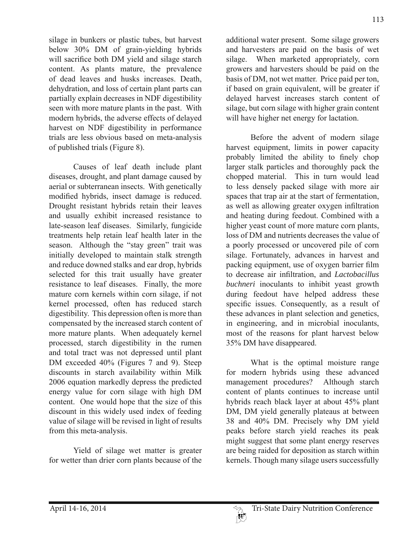silage in bunkers or plastic tubes, but harvest below 30% DM of grain-yielding hybrids will sacrifice both DM yield and silage starch content. As plants mature, the prevalence of dead leaves and husks increases. Death, dehydration, and loss of certain plant parts can partially explain decreases in NDF digestibility seen with more mature plants in the past. With modern hybrids, the adverse effects of delayed harvest on NDF digestibility in performance trials are less obvious based on meta-analysis of published trials (Figure 8).

 Causes of leaf death include plant diseases, drought, and plant damage caused by aerial or subterranean insects. With genetically modified hybrids, insect damage is reduced. Drought resistant hybrids retain their leaves and usually exhibit increased resistance to late-season leaf diseases. Similarly, fungicide treatments help retain leaf health later in the season. Although the "stay green" trait was initially developed to maintain stalk strength and reduce downed stalks and ear drop, hybrids selected for this trait usually have greater resistance to leaf diseases. Finally, the more mature corn kernels within corn silage, if not kernel processed, often has reduced starch digestibility. This depression often is more than compensated by the increased starch content of more mature plants. When adequately kernel processed, starch digestibility in the rumen and total tract was not depressed until plant DM exceeded 40% (Figures 7 and 9). Steep discounts in starch availability within Milk 2006 equation markedly depress the predicted energy value for corn silage with high DM content. One would hope that the size of this discount in this widely used index of feeding value of silage will be revised in light of results from this meta-analysis.

 Yield of silage wet matter is greater for wetter than drier corn plants because of the additional water present. Some silage growers and harvesters are paid on the basis of wet silage. When marketed appropriately, corn growers and harvesters should be paid on the basis of DM, not wet matter. Price paid per ton, if based on grain equivalent, will be greater if delayed harvest increases starch content of silage, but corn silage with higher grain content will have higher net energy for lactation.

 Before the advent of modern silage harvest equipment, limits in power capacity probably limited the ability to finely chop larger stalk particles and thoroughly pack the chopped material. This in turn would lead to less densely packed silage with more air spaces that trap air at the start of fermentation, as well as allowing greater oxygen infiltration and heating during feedout. Combined with a higher yeast count of more mature corn plants, loss of DM and nutrients decreases the value of a poorly processed or uncovered pile of corn silage. Fortunately, advances in harvest and packing equipment, use of oxygen barrier film to decrease air infiltration, and *Lactobacillus buchneri* inoculants to inhibit yeast growth during feedout have helped address these specific issues. Consequently, as a result of these advances in plant selection and genetics, in engineering, and in microbial inoculants, most of the reasons for plant harvest below 35% DM have disappeared.

 What is the optimal moisture range for modern hybrids using these advanced management procedures? Although starch content of plants continues to increase until hybrids reach black layer at about 45% plant DM, DM yield generally plateaus at between 38 and 40% DM. Precisely why DM yield peaks before starch yield reaches its peak might suggest that some plant energy reserves are being raided for deposition as starch within kernels. Though many silage users successfully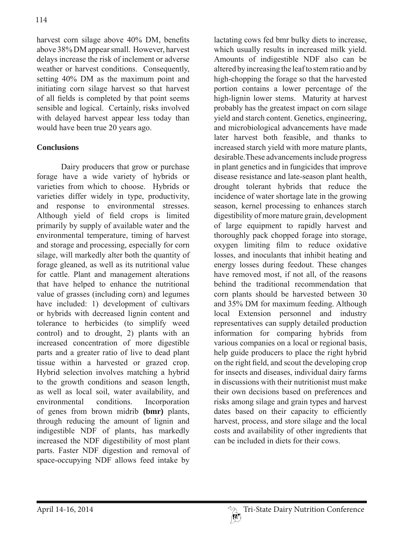harvest corn silage above 40% DM, benefits above 38% DM appear small. However, harvest delays increase the risk of inclement or adverse weather or harvest conditions. Consequently, setting 40% DM as the maximum point and initiating corn silage harvest so that harvest of all fields is completed by that point seems sensible and logical. Certainly, risks involved with delayed harvest appear less today than would have been true 20 years ago.

## **Conclusions**

 Dairy producers that grow or purchase forage have a wide variety of hybrids or varieties from which to choose. Hybrids or varieties differ widely in type, productivity, and response to environmental stresses. Although yield of field crops is limited primarily by supply of available water and the environmental temperature, timing of harvest and storage and processing, especially for corn silage, will markedly alter both the quantity of forage gleaned, as well as its nutritional value for cattle. Plant and management alterations that have helped to enhance the nutritional value of grasses (including corn) and legumes have included: 1) development of cultivars or hybrids with decreased lignin content and tolerance to herbicides (to simplify weed control) and to drought, 2) plants with an increased concentration of more digestible parts and a greater ratio of live to dead plant tissue within a harvested or grazed crop. Hybrid selection involves matching a hybrid to the growth conditions and season length, as well as local soil, water availability, and environmental conditions. Incorporation of genes from brown midrib **(bmr)** plants, through reducing the amount of lignin and indigestible NDF of plants, has markedly increased the NDF digestibility of most plant parts. Faster NDF digestion and removal of space-occupying NDF allows feed intake by

lactating cows fed bmr bulky diets to increase, which usually results in increased milk yield. Amounts of indigestible NDF also can be altered by increasing the leaf to stem ratio and by high-chopping the forage so that the harvested portion contains a lower percentage of the high-lignin lower stems. Maturity at harvest probably has the greatest impact on corn silage yield and starch content. Genetics, engineering, and microbiological advancements have made later harvest both feasible, and thanks to increased starch yield with more mature plants, desirable.These advancements include progress in plant genetics and in fungicides that improve disease resistance and late-season plant health, drought tolerant hybrids that reduce the incidence of water shortage late in the growing season, kernel processing to enhances starch digestibility of more mature grain, development of large equipment to rapidly harvest and thoroughly pack chopped forage into storage, oxygen limiting film to reduce oxidative losses, and inoculants that inhibit heating and energy losses during feedout. These changes have removed most, if not all, of the reasons behind the traditional recommendation that corn plants should be harvested between 30 and 35% DM for maximum feeding. Although local Extension personnel and industry representatives can supply detailed production information for comparing hybrids from various companies on a local or regional basis, help guide producers to place the right hybrid on the right field, and scout the developing crop for insects and diseases, individual dairy farms in discussions with their nutritionist must make their own decisions based on preferences and risks among silage and grain types and harvest dates based on their capacity to efficiently harvest, process, and store silage and the local costs and availability of other ingredients that can be included in diets for their cows.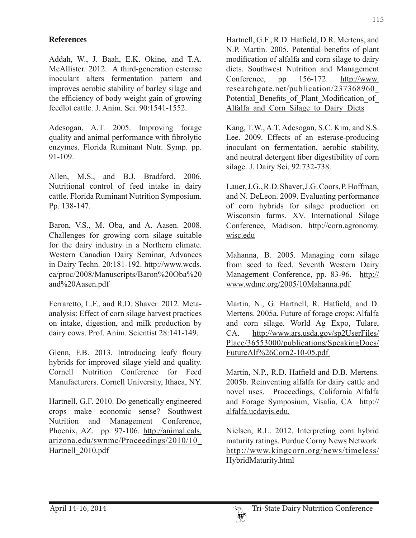## **References**

Addah, W., J. Baah, E.K. Okine, and T.A. McAllister. 2012. A third-generation esterase inoculant alters fermentation pattern and improves aerobic stability of barley silage and the efficiency of body weight gain of growing feedlot cattle. J. Anim. Sci. 90:1541-1552.

Adesogan, A.T. 2005. Improving forage quality and animal performance with fibrolytic enzymes. Florida Ruminant Nutr. Symp. pp. 91-109.

Allen, M.S., and B.J. Bradford. 2006. Nutritional control of feed intake in dairy cattle. Florida Ruminant Nutrition Symposium. Pp. 138-147.

Baron, V.S., M. Oba, and A. Aasen. 2008. Challenges for growing corn silage suitable for the dairy industry in a Northern climate. Western Canadian Dairy Seminar, Advances in Dairy Techn. 20:181-192. http://www.wcds. ca/proc/2008/Manuscripts/Baron%20Oba%20 and%20Aasen.pdf

Ferraretto, L.F., and R.D. Shaver. 2012. Metaanalysis: Effect of corn silage harvest practices on intake, digestion, and milk production by dairy cows. Prof. Anim. Scientist 28:141-149.

Glenn, F.B. 2013. Introducing leafy floury hybrids for improved silage yield and quality. Cornell Nutrition Conference for Feed Manufacturers. Cornell University, Ithaca, NY.

Hartnell, G.F. 2010. Do genetically engineered crops make economic sense? Southwest Nutrition and Management Conference, Phoenix, AZ. pp. 97-106. http://animal.cals. arizona.edu/swnmc/Proceedings/2010/10\_ Hartnell 2010.pdf

Hartnell, G.F., R.D. Hatfield, D.R. Mertens, and N.P. Martin. 2005. Potential benefits of plant modification of alfalfa and corn silage to dairy diets. Southwest Nutrition and Management Conference, pp 156-172. http://www. researchgate.net/publication/237368960\_ Potential Benefits of Plant Modification of Alfalfa and Corn Silage to Dairy Diets

Kang, T.W., A.T. Adesogan, S.C. Kim, and S.S. Lee. 2009. Effects of an esterase-producing inoculant on fermentation, aerobic stability, and neutral detergent fiber digestibility of corn silage. J. Dairy Sci. 92:732-738.

Lauer, J.G., R.D. Shaver, J.G. Coors, P. Hoffman, and N. DeLeon. 2009. Evaluating performance of corn hybrids for silage production on Wisconsin farms. XV. International Silage Conference, Madison. http://corn.agronomy. wisc.edu

Mahanna, B. 2005. Managing corn silage from seed to feed. Seventh Western Dairy Management Conference, pp. 83-96. http:// www.wdmc.org/2005/10Mahanna.pdf

Martin, N., G. Hartnell, R. Hatfield, and D. Mertens. 2005a. Future of forage crops: Alfalfa and corn silage. World Ag Expo, Tulare, CA. http://www.ars.usda.gov/sp2UserFiles/ Place/36553000/publications/SpeakingDocs/ FutureAlf%26Corn2-10-05.pdf

Martin, N.P., R.D. Hatfield and D.B. Mertens. 2005b. Reinventing alfalfa for dairy cattle and novel uses. Proceedings, California Alfalfa and Forage Symposium, Visalia, CA http:// alfalfa.ucdavis.edu.

Nielsen, R.L. 2012. Interpreting corn hybrid maturity ratings. Purdue Corny News Network. http://www.kingcorn.org/news/timeless/ HybridMaturity.html

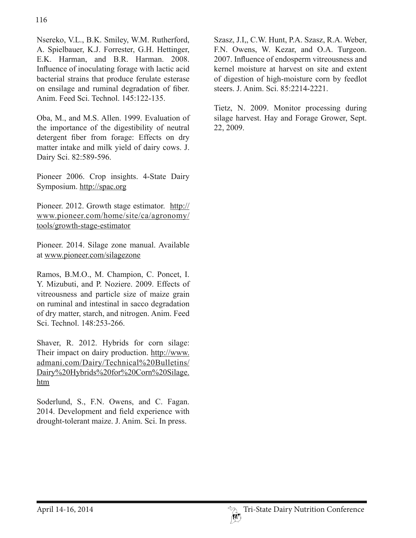Nsereko, V.L., B.K. Smiley, W.M. Rutherford, A. Spielbauer, K.J. Forrester, G.H. Hettinger, E.K. Harman, and B.R. Harman. 2008. Influence of inoculating forage with lactic acid bacterial strains that produce ferulate esterase on ensilage and ruminal degradation of fiber. Anim. Feed Sci. Technol. 145:122-135.

Oba, M., and M.S. Allen. 1999. Evaluation of the importance of the digestibility of neutral detergent fiber from forage: Effects on dry matter intake and milk yield of dairy cows. J. Dairy Sci. 82:589-596.

Pioneer 2006. Crop insights. 4-State Dairy Symposium. http://spac.org

Pioneer. 2012. Growth stage estimator. http:// www.pioneer.com/home/site/ca/agronomy/ tools/growth-stage-estimator

Pioneer. 2014. Silage zone manual. Available at www.pioneer.com/silagezone

Ramos, B.M.O., M. Champion, C. Poncet, I. Y. Mizubuti, and P. Noziere. 2009. Effects of vitreousness and particle size of maize grain on ruminal and intestinal in sacco degradation of dry matter, starch, and nitrogen. Anim. Feed Sci. Technol. 148:253-266.

Shaver, R. 2012. Hybrids for corn silage: Their impact on dairy production. http://www. admani.com/Dairy/Technical%20Bulletins/ Dairy%20Hybrids%20for%20Corn%20Silage. htm

Soderlund, S., F.N. Owens, and C. Fagan. 2014. Development and field experience with drought-tolerant maize. J. Anim. Sci. In press.

Szasz, J.I,, C.W. Hunt, P.A. Szasz, R.A. Weber, F.N. Owens, W. Kezar, and O.A. Turgeon. 2007. Influence of endosperm vitreousness and kernel moisture at harvest on site and extent of digestion of high-moisture corn by feedlot steers. J. Anim. Sci. 85:2214-2221.

Tietz, N. 2009. Monitor processing during silage harvest. Hay and Forage Grower, Sept. 22, 2009.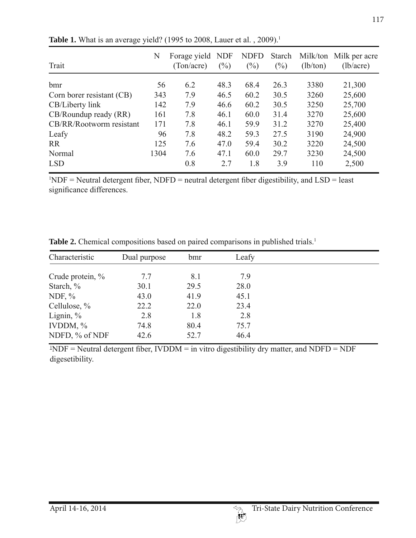| Trait                     | N    | Forage yield<br>(Ton/acre) | <b>NDF</b><br>$(\%)$ | <b>NDFD</b><br>$(\%)$ | Starch<br>$(\%)$ | (lb/ton) | Milk/ton Milk per acre<br>(lb/acre) |
|---------------------------|------|----------------------------|----------------------|-----------------------|------------------|----------|-------------------------------------|
| bmr                       | 56   | 6.2                        | 48.3                 | 68.4                  | 26.3             | 3380     | 21,300                              |
| Corn borer resistant (CB) | 343  | 7.9                        | 46.5                 | 60.2                  | 30.5             | 3260     | 25,600                              |
| CB/Liberty link           | 142  | 7.9                        | 46.6                 | 60.2                  | 30.5             | 3250     | 25,700                              |
| CB/Roundup ready (RR)     | 161  | 7.8                        | 46.1                 | 60.0                  | 31.4             | 3270     | 25,600                              |
| CB/RR/Rootworm resistant  | 171  | 7.8                        | 46.1                 | 59.9                  | 31.2             | 3270     | 25,400                              |
| Leafy                     | 96   | 7.8                        | 48.2                 | 59.3                  | 27.5             | 3190     | 24,900                              |
| <b>RR</b>                 | 125  | 7.6                        | 47.0                 | 59.4                  | 30.2             | 3220     | 24,500                              |
| Normal                    | 1304 | 7.6                        | 47.1                 | 60.0                  | 29.7             | 3230     | 24,500                              |
| <b>LSD</b>                |      | 0.8                        | 2.7                  | 1.8                   | 3.9              | 110      | 2,500                               |

**Table 1.** What is an average yield? (1995 to 2008, Lauer et al., 2009).<sup>1</sup>

 $1$ NDF = Neutral detergent fiber, NDFD = neutral detergent fiber digestibility, and LSD = least significance differences.

| Characteristic   | Dual purpose | bmr  | Leafy |  |
|------------------|--------------|------|-------|--|
| Crude protein, % | 7.7          | 8.1  | 7.9   |  |
| Starch, %        | 30.1         | 29.5 | 28.0  |  |
| NDF, $%$         | 43.0         | 41.9 | 45.1  |  |
| Cellulose, %     | 22.2         | 22.0 | 23.4  |  |
| Lignin, $\%$     | 2.8          | 1.8  | 2.8   |  |
| IVDDM, $\%$      | 74.8         | 80.4 | 75.7  |  |
| NDFD, % of NDF   | 42.6         | 52.7 | 46.4  |  |

Table 2. Chemical compositions based on paired comparisons in published trials.<sup>1</sup>

 $1$ NDF = Neutral detergent fiber, IVDDM = in vitro digestibility dry matter, and NDFD = NDF digesetibility.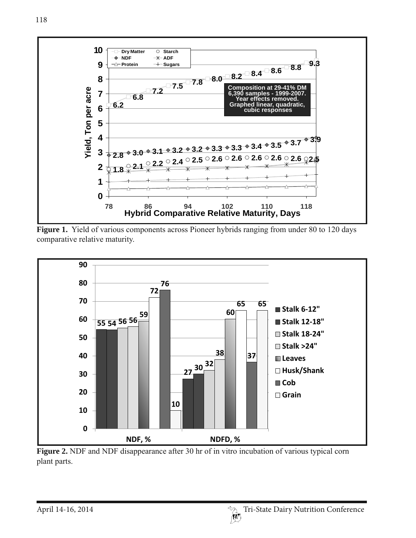

**Figure 1.** Yield of various components across Pioneer hybrids ranging from under 80 to 120 days comparative relative maturity.



**Figure 2.** NDF and NDF disappearance after 30 hr of in vitro incubation of various typical corn plant parts.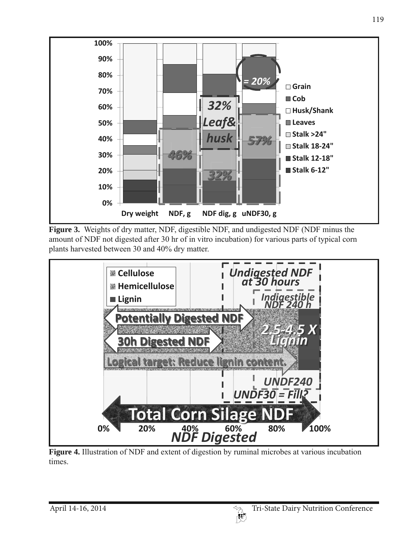

**Figure 3.** Weights of dry matter, NDF, digestible NDF, and undigested NDF (NDF minus the amount of NDF not digested after 30 hr of in vitro incubation) for various parts of typical corn plants harvested between 30 and 40% dry matter.



**Figure 4.** Illustration of NDF and extent of digestion by ruminal microbes at various incubation times.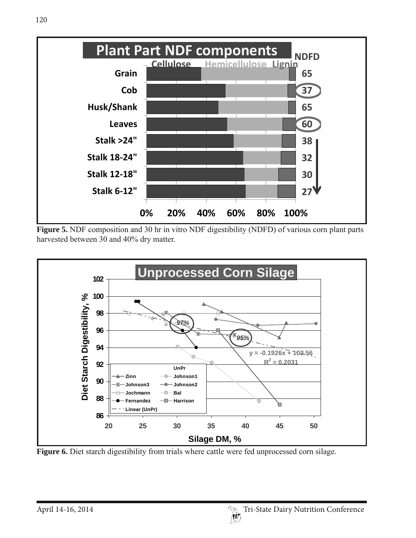







Figure 6. Diet starch digestibility from trials where cattle were fed unprocessed corn silage.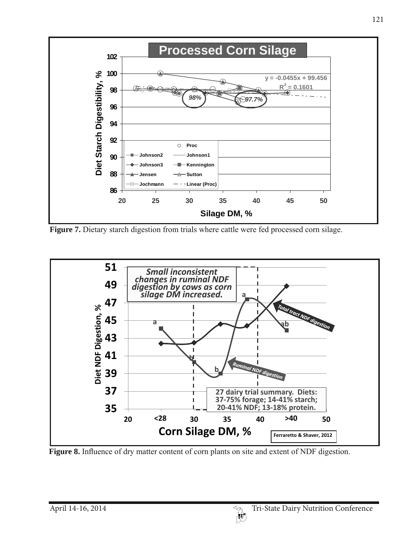

Figure 7. Dietary starch digestion from trials where cattle were fed processed corn silage.



**Figure 8.** Influence of dry matter content of corn plants on site and extent of NDF digestion.